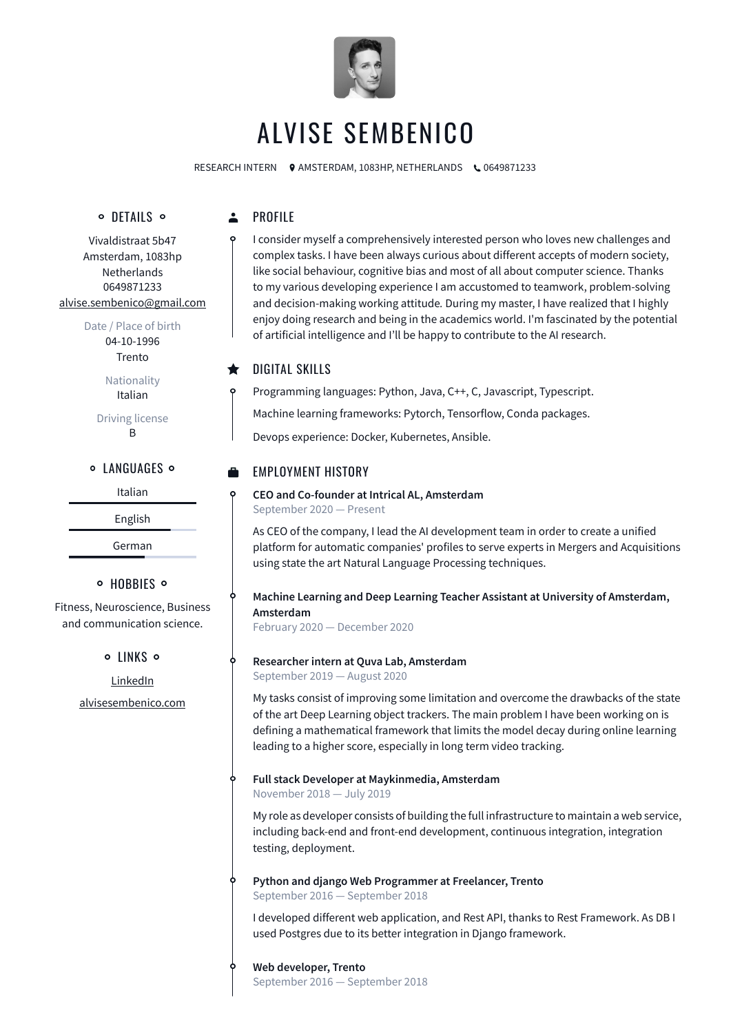

# ALVISE SEMBENICO

RESEARCH INTERN O AMSTERDAM, 1083HP, NETHERLANDS \0649871233

# o DETAILS o

#### $\Delta$ PROFILE

Vivaldistraat 5b47 Amsterdam, 1083hp Netherlands 0649871233 [alvise.sembenico@gmail.com](mailto:alvise.sembenico@gmail.com)

Date / Place of birth

04-10-1996 Trento

Nationality Italian

Driving license B

**O LANGUAGES O** 

Italian

English

German

## o HOBBIES o

Fitness, Neuroscience, Business and communication science.

o LINKS o

[LinkedIn](http://www.linkedin.com/in/alvise-sembenico-94b273124) [alvisesembenico.com](http://alvisesembenico.com) I consider myself a comprehensively interested person who loves new challenges and complex tasks. I have been always curious about different accepts of modern society, like social behaviour, cognitive bias and most of all about computer science. Thanks to my various developing experience I am accustomed to teamwork, problem-solving and decision-making working attitude*.* During my master, I have realized that I highly enjoy doing research and being in the academics world. I'm fascinated by the potential of artificial intelligence and I'll be happy to contribute to the AI research.

#### $\bigstar$ DIGITAL SKILLS

Programming languages: Python, Java, C++, C, Javascript, Typescript. Machine learning frameworks: Pytorch, Tensorflow, Conda packages.

Devops experience: Docker, Kubernetes, Ansible.

# EMPLOYMENT HISTORY

**CEO and Co-founder at Intrical AL, Amsterdam** September 2020 — Present

As CEO of the company, I lead the AI development team in order to create a unified platform for automatic companies' profiles to serve experts in Mergers and Acquisitions using state the art Natural Language Processing techniques.

**Machine Learning and Deep Learning Teacher Assistant at University of Amsterdam, Amsterdam**

February 2020 — December 2020

## **Researcher intern at Quva Lab, Amsterdam**

September 2019 — August 2020

My tasks consist of improving some limitation and overcome the drawbacks of the state of the art Deep Learning object trackers. The main problem I have been working on is defining a mathematical framework that limits the model decay during online learning leading to a higher score, especially in long term video tracking.

# **Full stack Developer at Maykinmedia, Amsterdam**

November 2018 — July 2019

My role as developer consists of building the full infrastructure to maintain a web service, including back-end and front-end development, continuous integration, integration testing, deployment.

# **Python and django Web Programmer at Freelancer, Trento**

September 2016 — September 2018

I developed different web application, and Rest API, thanks to Rest Framework. As DB I used Postgres due to its better integration in Django framework.

## **Web developer, Trento**

September 2016 — September 2018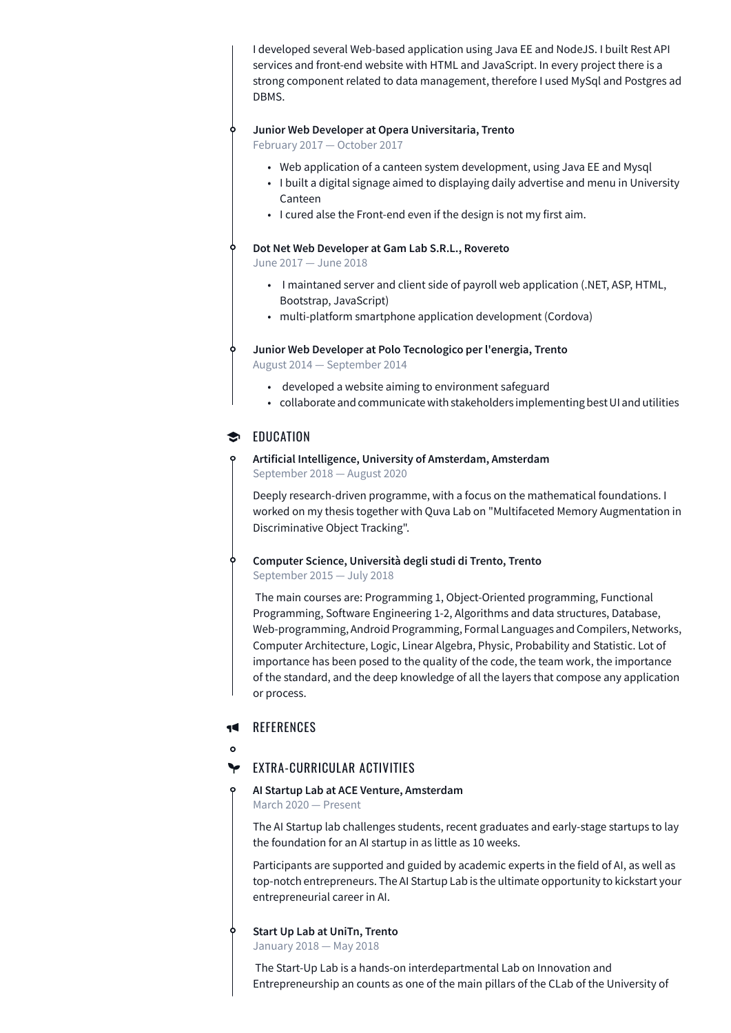I developed several Web-based application using Java EE and NodeJS. I built Rest API services and front-end website with HTML and JavaScript. In every project there is a strong component related to data management, therefore I used MySql and Postgres ad DBMS.

### **Junior Web Developer at Opera Universitaria, Trento**

February 2017 — October 2017

- Web application of a canteen system development, using Java EE and Mysql
- I built a digital signage aimed to displaying daily advertise and menu in University Canteen
- I cured alse the Front-end even if the design is not my first aim.

#### **Dot Net Web Developer at Gam Lab S.R.L., Rovereto**

June 2017 — June 2018

- I maintaned server and client side of payroll web application (.NET, ASP, HTML, Bootstrap, JavaScript)
- multi-platform smartphone application development (Cordova)

**Junior Web Developer at Polo Tecnologico per l'energia, Trento**

August 2014 — September 2014

- developed a website aiming to environment safeguard
- collaborate and communicate with stakeholders implementing best UI and utilities

## **EDUCATION**

**Artificial Intelligence, University of Amsterdam, Amsterdam** September 2018 — August 2020

Deeply research-driven programme, with a focus on the mathematical foundations. I worked on my thesis together with Quva Lab on "Multifaceted Memory Augmentation in Discriminative Object Tracking".

**Computer Science, Università degli studi di Trento, Trento**

September 2015 — July 2018

The main courses are: Programming 1, Object-Oriented programming, Functional Programming, Software Engineering 1-2, Algorithms and data structures, Database, Web-programming, Android Programming, Formal Languages and Compilers, Networks, Computer Architecture, Logic, Linear Algebra, Physic, Probability and Statistic. Lot of importance has been posed to the quality of the code, the team work, the importance of the standard, and the deep knowledge of all the layers that compose any application or process.

#### **REFERENCES** 40 L

 $\Omega$ 

#### ≻ EXTRA-CURRICULAR ACTIVITIES

#### **AI Startup Lab at ACE Venture, Amsterdam** March 2020 — Present

The AI Startup lab challenges students, recent graduates and early-stage startups to lay the foundation for an AI startup in as little as 10 weeks.

Participants are supported and guided by academic experts in the field of AI, as well as top-notch entrepreneurs. The AI Startup Lab is the ultimate opportunity to kickstart your entrepreneurial career in AI.

**Start Up Lab at UniTn, Trento** January 2018 — May 2018

The Start-Up Lab is a hands-on interdepartmental Lab on Innovation and Entrepreneurship an counts as one of the main pillars of the CLab of the University of